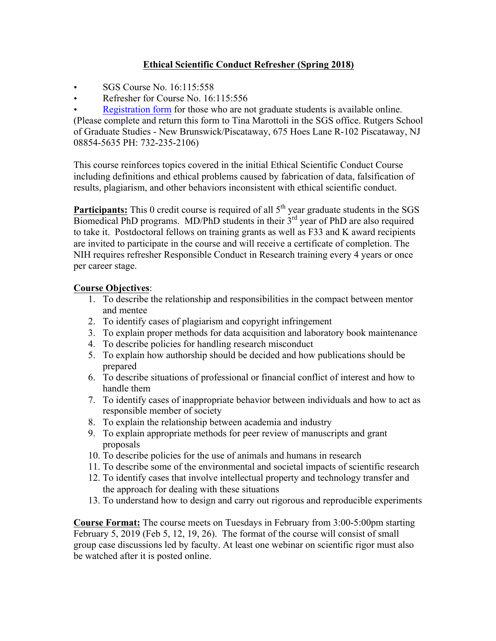## **Ethical Scientific Conduct Refresher (Spring 2018)**

- SGS Course No. 16:115:558
- Refresher for Course No. 16:115:556

• Registration form for those who are not graduate students is available online. (Please complete and return this form to Tina Marottoli in the SGS office. Rutgers School of Graduate Studies - New Brunswick/Piscataway, 675 Hoes Lane R-102 Piscataway, NJ 08854-5635 PH: 732-235-2106)

This course reinforces topics covered in the initial Ethical Scientific Conduct Course including definitions and ethical problems caused by fabrication of data, falsification of results, plagiarism, and other behaviors inconsistent with ethical scientific conduct.

**Participants:** This 0 credit course is required of all 5<sup>th</sup> year graduate students in the SGS Biomedical PhD programs. MD/PhD students in their 3<sup>rd</sup> year of PhD are also required to take it. Postdoctoral fellows on training grants as well as F33 and K award recipients are invited to participate in the course and will receive a certificate of completion. The NIH requires refresher Responsible Conduct in Research training every 4 years or once per career stage.

## **Course Objectives**:

- 1. To describe the relationship and responsibilities in the compact between mentor and mentee
- 2. To identify cases of plagiarism and copyright infringement
- 3. To explain proper methods for data acquisition and laboratory book maintenance
- 4. To describe policies for handling research misconduct
- 5. To explain how authorship should be decided and how publications should be prepared
- 6. To describe situations of professional or financial conflict of interest and how to handle them
- 7. To identify cases of inappropriate behavior between individuals and how to act as responsible member of society
- 8. To explain the relationship between academia and industry
- 9. To explain appropriate methods for peer review of manuscripts and grant proposals
- 10. To describe policies for the use of animals and humans in research
- 11. To describe some of the environmental and societal impacts of scientific research
- 12. To identify cases that involve intellectual property and technology transfer and the approach for dealing with these situations
- 13. To understand how to design and carry out rigorous and reproducible experiments

**Course Format:** The course meets on Tuesdays in February from 3:00-5:00pm starting February 5, 2019 (Feb 5, 12, 19, 26). The format of the course will consist of small group case discussions led by faculty. At least one webinar on scientific rigor must also be watched after it is posted online.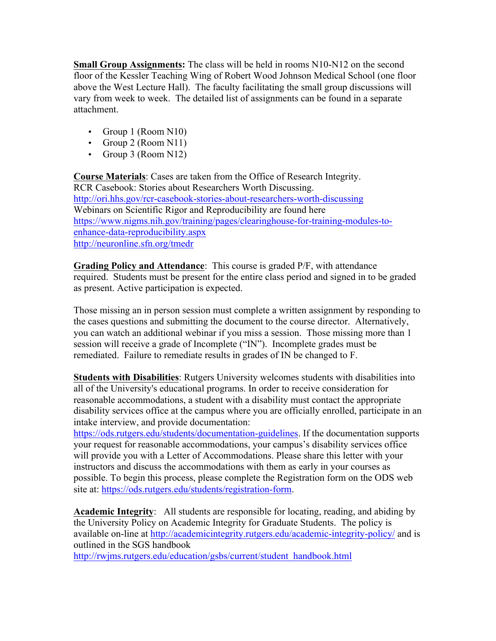**Small Group Assignments:** The class will be held in rooms N10-N12 on the second floor of the Kessler Teaching Wing of Robert Wood Johnson Medical School (one floor above the West Lecture Hall). The faculty facilitating the small group discussions will vary from week to week. The detailed list of assignments can be found in a separate attachment.

- Group 1 (Room N10)
- Group 2 (Room N11)
- Group 3 (Room N12)

**Course Materials**: Cases are taken from the Office of Research Integrity. RCR Casebook: Stories about Researchers Worth Discussing. http://ori.hhs.gov/rcr-casebook-stories-about-researchers-worth-discussing Webinars on Scientific Rigor and Reproducibility are found here https://www.nigms.nih.gov/training/pages/clearinghouse-for-training-modules-toenhance-data-reproducibility.aspx http://neuronline.sfn.org/tmedr

**Grading Policy and Attendance**: This course is graded P/F, with attendance required. Students must be present for the entire class period and signed in to be graded as present. Active participation is expected.

Those missing an in person session must complete a written assignment by responding to the cases questions and submitting the document to the course director. Alternatively, you can watch an additional webinar if you miss a session. Those missing more than 1 session will receive a grade of Incomplete ("IN"). Incomplete grades must be remediated. Failure to remediate results in grades of IN be changed to F.

**Students with Disabilities**: Rutgers University welcomes students with disabilities into all of the University's educational programs. In order to receive consideration for reasonable accommodations, a student with a disability must contact the appropriate disability services office at the campus where you are officially enrolled, participate in an intake interview, and provide documentation:

https://ods.rutgers.edu/students/documentation-guidelines. If the documentation supports your request for reasonable accommodations, your campus's disability services office will provide you with a Letter of Accommodations. Please share this letter with your instructors and discuss the accommodations with them as early in your courses as possible. To begin this process, please complete the Registration form on the ODS web site at: https://ods.rutgers.edu/students/registration-form.

**Academic Integrity**: All students are responsible for locating, reading, and abiding by the University Policy on Academic Integrity for Graduate Students. The policy is available on-line at http://academicintegrity.rutgers.edu/academic-integrity-policy/ and is outlined in the SGS handbook

http://rwjms.rutgers.edu/education/gsbs/current/student\_handbook.html